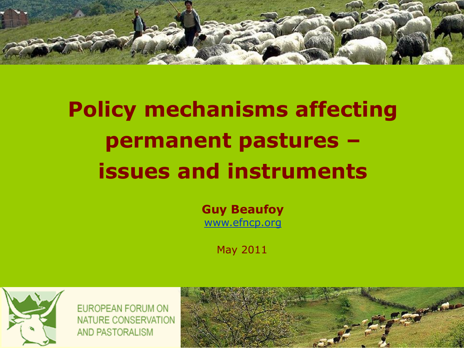

# **Policy mechanisms affecting permanent pastures – issues and instruments**

**Guy Beaufoy** [www.efncp.org](http://www.efncp.org/)

May 2011



EUROPEAN FORUM ON NATURE CONSERVATION AND PASTORALISM

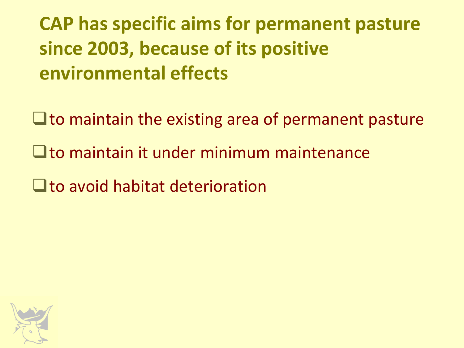**CAP has specific aims for permanent pasture since 2003, because of its positive environmental effects**

 $\Box$  to maintain the existing area of permanent pasture

- $\Box$  to maintain it under minimum maintenance
- $\Box$  to avoid habitat deterioration

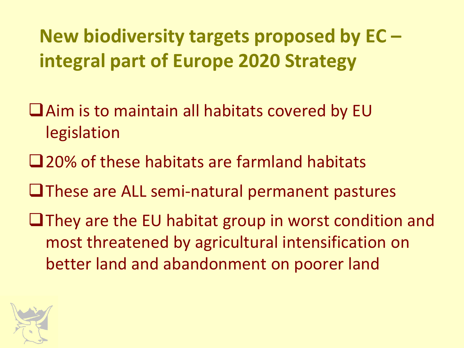**New biodiversity targets proposed by EC – integral part of Europe 2020 Strategy**

- Aim is to maintain all habitats covered by EU legislation
- **□20% of these habitats are farmland habitats**
- $\Box$  These are ALL semi-natural permanent pastures
- $\Box$  They are the EU habitat group in worst condition and most threatened by agricultural intensification on better land and abandonment on poorer land

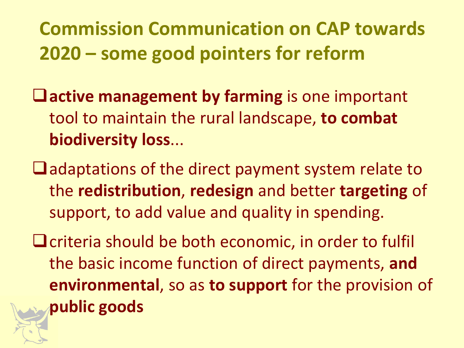## **Commission Communication on CAP towards 2020 – some good pointers for reform**

- **active management by farming** is one important tool to maintain the rural landscape, **to combat biodiversity loss**...
- $\Box$  adaptations of the direct payment system relate to the **redistribution**, **redesign** and better **targeting** of support, to add value and quality in spending.
- $\Box$  criteria should be both economic, in order to fulfil the basic income function of direct payments, **and environmental**, so as **to support** for the provision of **public goods**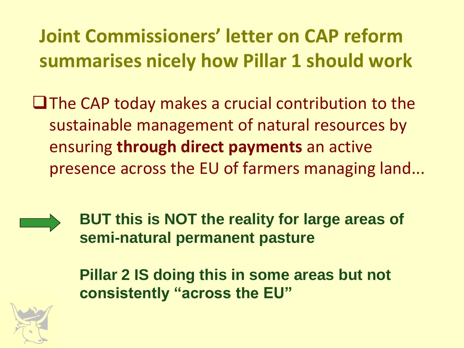**Joint Commissioners' letter on CAP reform summarises nicely how Pillar 1 should work**

 $\Box$  The CAP today makes a crucial contribution to the sustainable management of natural resources by ensuring **through direct payments** an active presence across the EU of farmers managing land...



**BUT this is NOT the reality for large areas of semi-natural permanent pasture** 

**Pillar 2 IS doing this in some areas but not consistently "across the EU"**

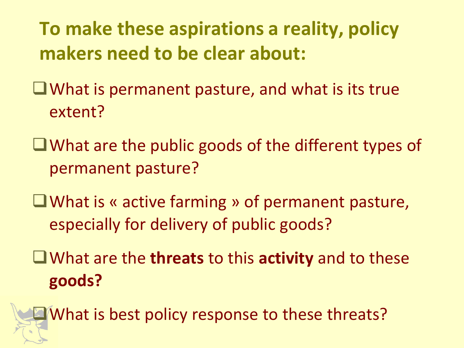**To make these aspirations a reality, policy makers need to be clear about:**

 $\Box$  What is permanent pasture, and what is its true extent?

What are the public goods of the different types of permanent pasture?

What is « active farming » of permanent pasture, especially for delivery of public goods?

What are the **threats** to this **activity** and to these **goods?**

**E**What is best policy response to these threats?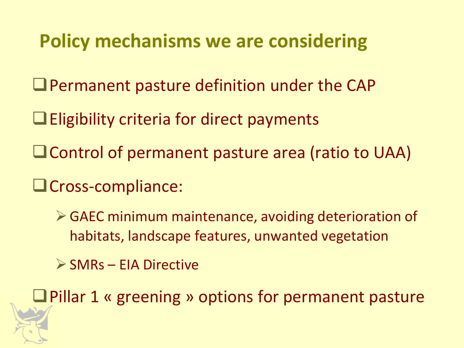#### **Policy mechanisms we are considering**

- Permanent pasture definition under the CAP
- $\Box$  Eligibility criteria for direct payments
- Control of permanent pasture area (ratio to UAA)
- Cross-compliance:
	- GAEC minimum maintenance, avoiding deterioration of habitats, landscape features, unwanted vegetation
	- $\triangleright$  SMRs EIA Directive

**Q** Pillar 1 « greening » options for permanent pasture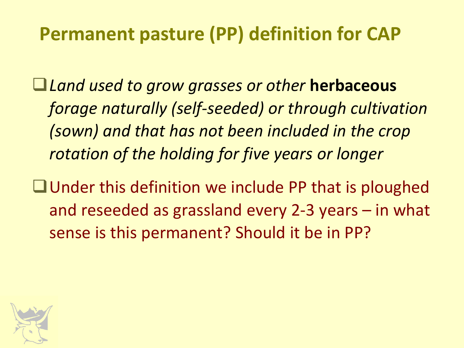#### **Permanent pasture (PP) definition for CAP**

*Land used to grow grasses or other* **herbaceous**  *forage naturally (self-seeded) or through cultivation (sown) and that has not been included in the crop rotation of the holding for five years or longer*

 $\Box$  Under this definition we include PP that is ploughed and reseeded as grassland every 2-3 years – in what sense is this permanent? Should it be in PP?

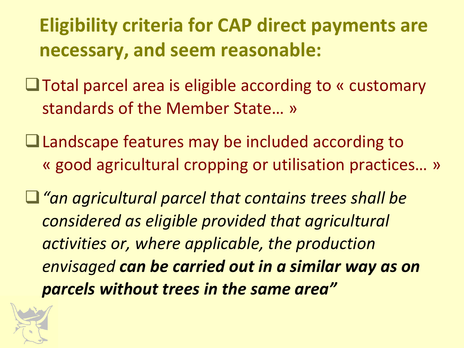**Eligibility criteria for CAP direct payments are necessary, and seem reasonable:**

**□Total parcel area is eligible according to « customary** standards of the Member State… »

Landscape features may be included according to « good agricultural cropping or utilisation practices… »

*"an agricultural parcel that contains trees shall be considered as eligible provided that agricultural activities or, where applicable, the production envisaged can be carried out in a similar way as on parcels without trees in the same area"*

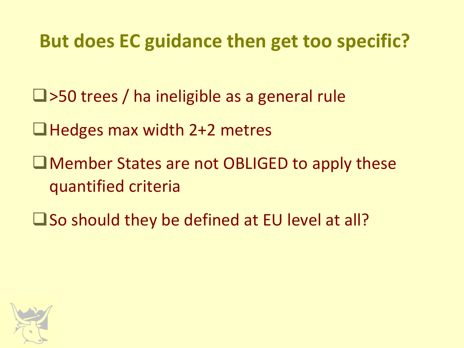#### **But does EC guidance then get too specific?**

- $\Box$ >50 trees / ha ineligible as a general rule
- ■Hedges max width 2+2 metres
- ■Member States are not OBLIGED to apply these quantified criteria
- $\square$  So should they be defined at EU level at all?

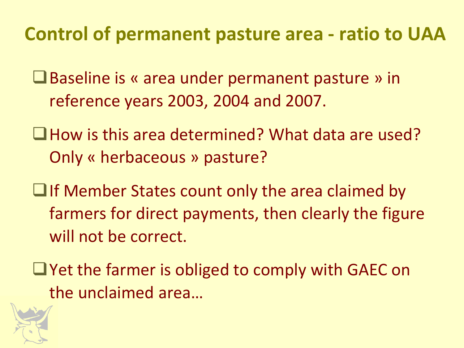#### **Control of permanent pasture area - ratio to UAA**

- **■Baseline is « area under permanent pasture » in** reference years 2003, 2004 and 2007.
- $\Box$  How is this area determined? What data are used? Only « herbaceous » pasture?
- $\Box$  If Member States count only the area claimed by farmers for direct payments, then clearly the figure will not be correct.
- $\Box$  Yet the farmer is obliged to comply with GAEC on the unclaimed area…

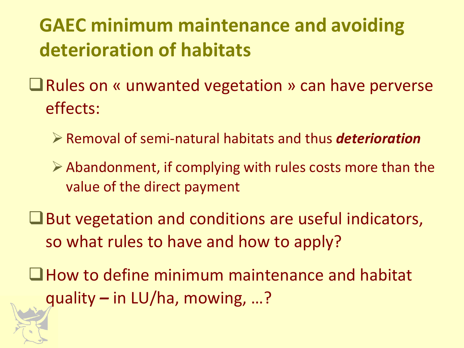# **GAEC minimum maintenance and avoiding deterioration of habitats**

- **■** Rules on « unwanted vegetation » can have perverse effects:
	- Removal of semi-natural habitats and thus *deterioration*
	- $\triangleright$  Abandonment, if complying with rules costs more than the value of the direct payment
- $\Box$  But vegetation and conditions are useful indicators, so what rules to have and how to apply?
- How to define minimum maintenance and habitat quality *–* in LU/ha, mowing, …?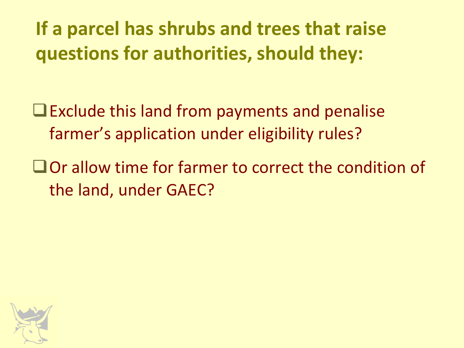**If a parcel has shrubs and trees that raise questions for authorities, should they:**

 $\Box$  Exclude this land from payments and penalise farmer's application under eligibility rules?

■ Or allow time for farmer to correct the condition of the land, under GAEC?

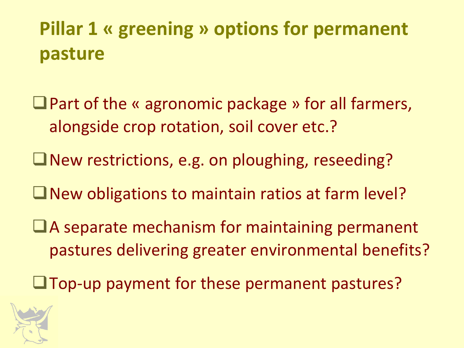# **Pillar 1 « greening » options for permanent pasture**

- $\Box$  Part of the « agronomic package » for all farmers, alongside crop rotation, soil cover etc.?
- New restrictions, e.g. on ploughing, reseeding?
- $\Box$  New obligations to maintain ratios at farm level?
- $\Box$  A separate mechanism for maintaining permanent pastures delivering greater environmental benefits?
- Top-up payment for these permanent pastures?